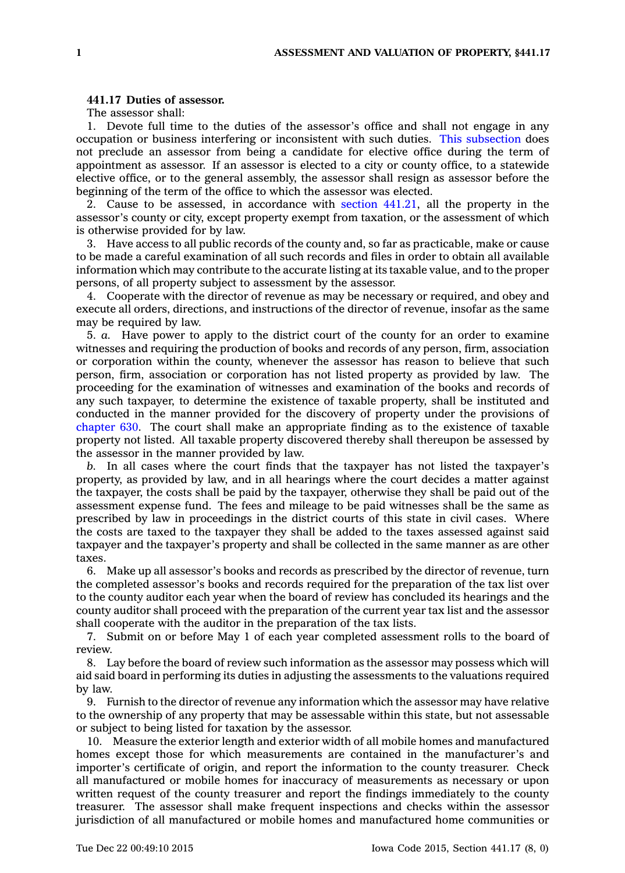## **441.17 Duties of assessor.**

The assessor shall:

1. Devote full time to the duties of the assessor's office and shall not engage in any occupation or business interfering or inconsistent with such duties. This [subsection](https://www.legis.iowa.gov/docs/code//441.17.pdf) does not preclude an assessor from being <sup>a</sup> candidate for elective office during the term of appointment as assessor. If an assessor is elected to <sup>a</sup> city or county office, to <sup>a</sup> statewide elective office, or to the general assembly, the assessor shall resign as assessor before the beginning of the term of the office to which the assessor was elected.

2. Cause to be assessed, in accordance with section [441.21](https://www.legis.iowa.gov/docs/code//441.21.pdf), all the property in the assessor's county or city, except property exempt from taxation, or the assessment of which is otherwise provided for by law.

3. Have access to all public records of the county and, so far as practicable, make or cause to be made <sup>a</sup> careful examination of all such records and files in order to obtain all available information which may contribute to the accurate listing at its taxable value, and to the proper persons, of all property subject to assessment by the assessor.

4. Cooperate with the director of revenue as may be necessary or required, and obey and execute all orders, directions, and instructions of the director of revenue, insofar as the same may be required by law.

5. *a.* Have power to apply to the district court of the county for an order to examine witnesses and requiring the production of books and records of any person, firm, association or corporation within the county, whenever the assessor has reason to believe that such person, firm, association or corporation has not listed property as provided by law. The proceeding for the examination of witnesses and examination of the books and records of any such taxpayer, to determine the existence of taxable property, shall be instituted and conducted in the manner provided for the discovery of property under the provisions of [chapter](https://www.legis.iowa.gov/docs/code//630.pdf) 630. The court shall make an appropriate finding as to the existence of taxable property not listed. All taxable property discovered thereby shall thereupon be assessed by the assessor in the manner provided by law.

*b.* In all cases where the court finds that the taxpayer has not listed the taxpayer's property, as provided by law, and in all hearings where the court decides <sup>a</sup> matter against the taxpayer, the costs shall be paid by the taxpayer, otherwise they shall be paid out of the assessment expense fund. The fees and mileage to be paid witnesses shall be the same as prescribed by law in proceedings in the district courts of this state in civil cases. Where the costs are taxed to the taxpayer they shall be added to the taxes assessed against said taxpayer and the taxpayer's property and shall be collected in the same manner as are other taxes.

6. Make up all assessor's books and records as prescribed by the director of revenue, turn the completed assessor's books and records required for the preparation of the tax list over to the county auditor each year when the board of review has concluded its hearings and the county auditor shall proceed with the preparation of the current year tax list and the assessor shall cooperate with the auditor in the preparation of the tax lists.

7. Submit on or before May 1 of each year completed assessment rolls to the board of review.

8. Lay before the board of review such information as the assessor may possess which will aid said board in performing its duties in adjusting the assessments to the valuations required by law.

9. Furnish to the director of revenue any information which the assessor may have relative to the ownership of any property that may be assessable within this state, but not assessable or subject to being listed for taxation by the assessor.

10. Measure the exterior length and exterior width of all mobile homes and manufactured homes except those for which measurements are contained in the manufacturer's and importer's certificate of origin, and report the information to the county treasurer. Check all manufactured or mobile homes for inaccuracy of measurements as necessary or upon written request of the county treasurer and report the findings immediately to the county treasurer. The assessor shall make frequent inspections and checks within the assessor jurisdiction of all manufactured or mobile homes and manufactured home communities or